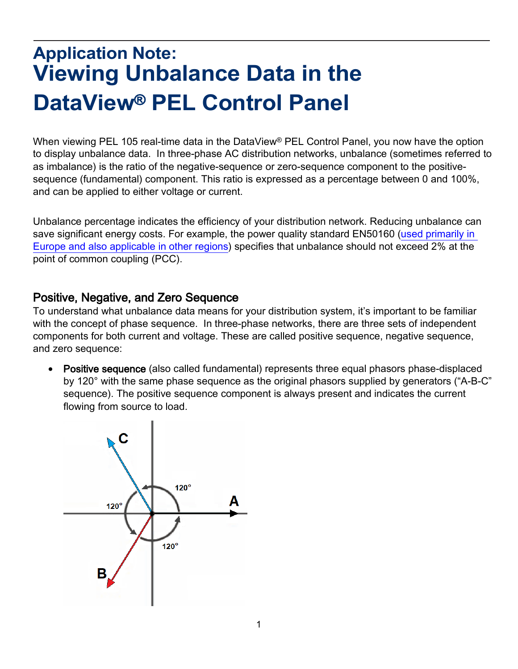## **Application Note: Viewing Unbalance Data in the DataView**® **PEL Control Panel**

When viewing PEL 105 real-time data in the DataView<sup>®</sup> PEL Control Panel, you now have the option to display unbalance data. In three-phase AC distribution networks, unbalance (sometimes referred to as imbalance) is the ratio of the negative-sequence or zero-sequence component to the positivesequence (fundamental) component. This ratio is expressed as a percentage between 0 and 100%, and can be applied to either voltage or current.

Unbalance percentage indicates the efficiency of your distribution network. Reducing unbalance can save significant energy costs. For example, the power quality standard EN50160 (used primarily in [Europe and also applicable in other regions\)](https://www.aemc.com/userfiles/files/resources/applications/power/APP-EN50160PowerPad3.pdf) specifies that unbalance should not exceed 2% at the point of common coupling (PCC).

## Positive, Negative, and Zero Sequence

To understand what unbalance data means for your distribution system, it's important to be familiar with the concept of phase sequence. In three-phase networks, there are three sets of independent components for both current and voltage. These are called positive sequence, negative sequence, and zero sequence:

• Positive sequence (also called fundamental) represents three equal phasors phase-displaced by 120° with the same phase sequence as the original phasors supplied by generators ("A-B-C" sequence). The positive sequence component is always present and indicates the current flowing from source to load.

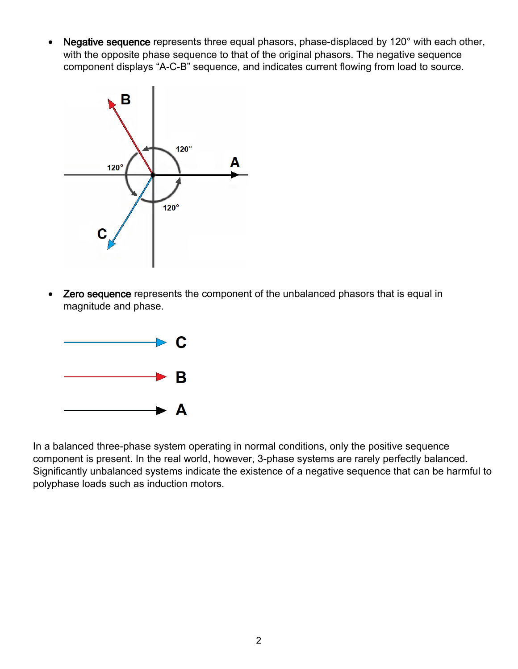• Negative sequence represents three equal phasors, phase-displaced by 120° with each other, with the opposite phase sequence to that of the original phasors. The negative sequence component displays "A-C-B" sequence, and indicates current flowing from load to source.



• Zero sequence represents the component of the unbalanced phasors that is equal in magnitude and phase.



In a balanced three-phase system operating in normal conditions, only the positive sequence component is present. In the real world, however, 3-phase systems are rarely perfectly balanced. Significantly unbalanced systems indicate the existence of a negative sequence that can be harmful to polyphase loads such as induction motors.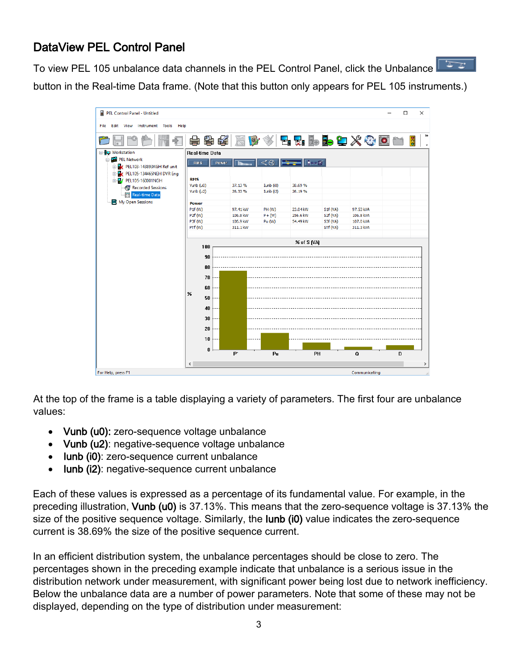## DataView PEL Control Panel

To view PEL 105 unbalance data channels in the PEL Control Panel, click the Unbalance  $\sqrt{2\pi x}$ button in the Real-time Data frame. (Note that this button only appears for PEL 105 instruments.)

| PEL Control Panel - Untitled                             |                   |             |                      |                      |                                           |                      |                        |   | $\times$<br>□  |  |
|----------------------------------------------------------|-------------------|-------------|----------------------|----------------------|-------------------------------------------|----------------------|------------------------|---|----------------|--|
| Edit View Instrument Tools Help<br>File                  |                   |             |                      |                      |                                           |                      |                        |   |                |  |
|                                                          |                   | 十字 长        | O<br>屬               |                      |                                           |                      | H.H.D.D.T.X.O.O        |   | ≫<br><b>PD</b> |  |
| <b>B</b> - <b>ID</b> Workstation                         | Real-time Data    |             |                      |                      |                                           |                      |                        |   |                |  |
| <b>E-BE PEL Network</b><br>D-8 PEL103-143893KGH Ref unit | RMS               | Power       | <b>Illinow</b>       | $\mathbb{R} \otimes$ | $\frac{1}{\sqrt{2}}$ $\frac{1}{\sqrt{2}}$ |                      |                        |   |                |  |
| E-R PEL105-134465NEH DVR Eng                             |                   |             |                      |                      |                                           |                      |                        |   |                |  |
| E-R/ PEL105-160001NGH                                    | <b>RMS</b>        |             |                      |                      |                                           |                      |                        |   |                |  |
| Recorded Sessions                                        | Vunb (u0)         |             | 37.13%               | Iunb (i0)            | 38.69%                                    |                      |                        |   |                |  |
| Real-time Data                                           | Vunb (u2)         |             | 26.33%               | Iunb (i2)            | 26.19%                                    |                      |                        |   |                |  |
| My Open Sessions                                         | <b>Power</b>      |             |                      |                      |                                           |                      |                        |   |                |  |
|                                                          | P1f(W)            |             | 97.41 kW             | PH (W)               | 23.04 kW                                  | S1f(VA)              | 97.53 kVA              |   |                |  |
|                                                          | P2f (W)           |             | 106.8 kW             | $P + (W)$            | 256.6 kW                                  | S2f (VA)             | 106.8 kVA              |   |                |  |
|                                                          | P3f (W)<br>PTf(W) |             | 106.9 kW<br>311.1 kW | Pu (W)               | 54.49 kW                                  | S3f (VA)<br>STf (VA) | 107.0 kVA<br>311.3 kVA |   |                |  |
|                                                          |                   |             |                      |                      |                                           |                      |                        |   |                |  |
|                                                          |                   | % of S (VA) |                      |                      |                                           |                      |                        |   |                |  |
|                                                          |                   | 100         |                      |                      |                                           |                      |                        |   |                |  |
|                                                          |                   | 90          |                      |                      |                                           |                      |                        |   |                |  |
|                                                          |                   | 80          |                      |                      |                                           |                      |                        |   |                |  |
|                                                          |                   |             |                      |                      |                                           |                      |                        |   |                |  |
|                                                          |                   | 70          |                      |                      |                                           |                      |                        |   |                |  |
|                                                          |                   | 60          |                      |                      |                                           |                      |                        |   |                |  |
|                                                          | %                 | 50          |                      |                      |                                           |                      |                        |   |                |  |
|                                                          |                   |             |                      |                      |                                           |                      |                        |   |                |  |
|                                                          |                   | 40          |                      |                      |                                           |                      |                        |   |                |  |
|                                                          |                   | 30          |                      |                      |                                           |                      |                        |   |                |  |
|                                                          |                   | 20          |                      |                      |                                           |                      |                        |   |                |  |
|                                                          |                   |             |                      |                      |                                           |                      |                        |   |                |  |
|                                                          |                   | 10          |                      |                      |                                           |                      |                        |   |                |  |
|                                                          |                   | 0           | $P^*$                | Pu                   | PH                                        |                      | Q                      | D |                |  |
|                                                          |                   |             |                      |                      |                                           |                      |                        |   |                |  |
|                                                          | $\leq$            |             |                      |                      |                                           |                      |                        |   | $\,$           |  |
| For Help, press F1                                       |                   |             |                      |                      |                                           |                      | Communicating          |   |                |  |

At the top of the frame is a table displaying a variety of parameters. The first four are unbalance values:

- Vunb (u0): zero-sequence voltage unbalance
- Vunb (u2): negative-sequence voltage unbalance
- **Iunb (i0)**: zero-sequence current unbalance
- Iunb (i2): negative-sequence current unbalance

Each of these values is expressed as a percentage of its fundamental value. For example, in the preceding illustration, Vunb (u0) is 37.13%. This means that the zero-sequence voltage is 37.13% the size of the positive sequence voltage. Similarly, the **lunb (i0)** value indicates the zero-sequence current is 38.69% the size of the positive sequence current.

In an efficient distribution system, the unbalance percentages should be close to zero. The percentages shown in the preceding example indicate that unbalance is a serious issue in the distribution network under measurement, with significant power being lost due to network inefficiency. Below the unbalance data are a number of power parameters. Note that some of these may not be displayed, depending on the type of distribution under measurement: